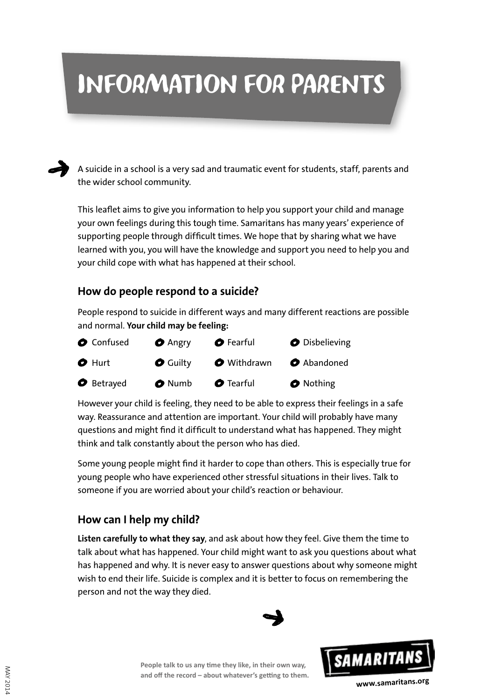# INFORMATION for parents



MAY 2014

**MAY 2014** 

A suicide in a school is a very sad and traumatic event for students, staff, parents and the wider school community.

This leaflet aims to give you information to help you support your child and manage your own feelings during this tough time. Samaritans has many years' experience of supporting people through difficult times. We hope that by sharing what we have learned with you, you will have the knowledge and support you need to help you and your child cope with what has happened at their school.

## **How do people respond to a suicide?**

People respond to suicide in different ways and many different reactions are possible and normal. **Your child may be feeling:**



However your child is feeling, they need to be able to express their feelings in a safe way. Reassurance and attention are important. Your child will probably have many questions and might find it difficult to understand what has happened. They might think and talk constantly about the person who has died.

Some young people might find it harder to cope than others. This is especially true for young people who have experienced other stressful situations in their lives. Talk to someone if you are worried about your child's reaction or behaviour.

# **How can I help my child?**

**Listen carefully to what they say**, and ask about how they feel. Give them the time to talk about what has happened. Your child might want to ask you questions about what has happened and why. It is never easy to answer questions about why someone might wish to end their life. Suicide is complex and it is better to focus on remembering the person and not the way they died.



**People talk to us any time they like, in their own way, and off the record – about whatever's getting to them.**

**www.samaritans.org**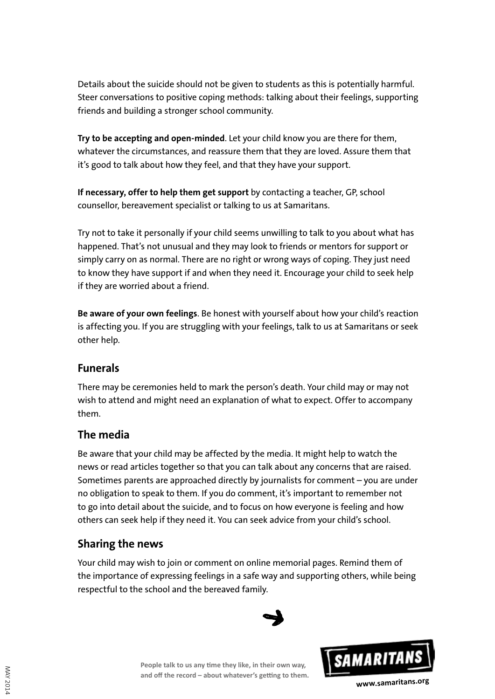Details about the suicide should not be given to students as this is potentially harmful. Steer conversations to positive coping methods: talking about their feelings, supporting friends and building a stronger school community.

**Try to be accepting and open-minded**. Let your child know you are there for them, whatever the circumstances, and reassure them that they are loved. Assure them that it's good to talk about how they feel, and that they have your support.

**If necessary, offer to help them get support** by contacting a teacher, GP, school counsellor, bereavement specialist or talking to us at Samaritans.

Try not to take it personally if your child seems unwilling to talk to you about what has happened. That's not unusual and they may look to friends or mentors for support or simply carry on as normal. There are no right or wrong ways of coping. They just need to know they have support if and when they need it. Encourage your child to seek help if they are worried about a friend.

**Be aware of your own feelings**. Be honest with yourself about how your child's reaction is affecting you. If you are struggling with your feelings, talk to us at Samaritans or seek other help.

#### **Funerals**

There may be ceremonies held to mark the person's death. Your child may or may not wish to attend and might need an explanation of what to expect. Offer to accompany them.

#### **The media**

Be aware that your child may be affected by the media. It might help to watch the news or read articles together so that you can talk about any concerns that are raised. Sometimes parents are approached directly by journalists for comment – you are under no obligation to speak to them. If you do comment, it's important to remember not to go into detail about the suicide, and to focus on how everyone is feeling and how others can seek help if they need it. You can seek advice from your child's school.

# **Sharing the news**

Your child may wish to join or comment on online memorial pages. Remind them of the importance of expressing feelings in a safe way and supporting others, while being respectful to the school and the bereaved family.



**People talk to us any time they like, in their own way, and off the record – about whatever's getting to them.**

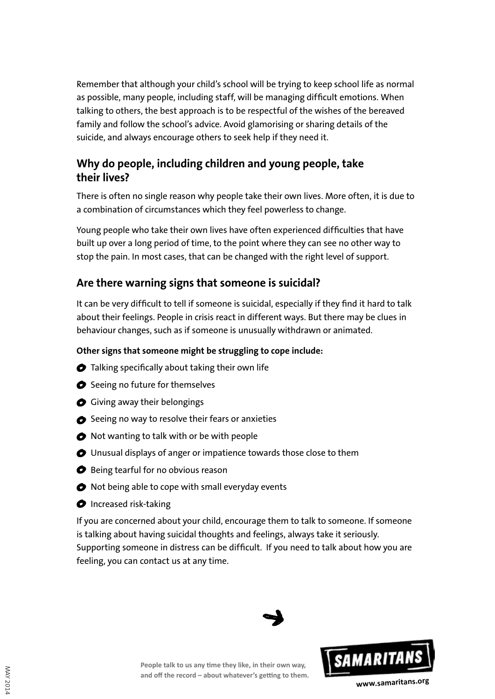Remember that although your child's school will be trying to keep school life as normal as possible, many people, including staff, will be managing difficult emotions. When talking to others, the best approach is to be respectful of the wishes of the bereaved family and follow the school's advice. Avoid glamorising or sharing details of the suicide, and always encourage others to seek help if they need it.

## **Why do people, including children and young people, take their lives?**

There is often no single reason why people take their own lives. More often, it is due to a combination of circumstances which they feel powerless to change.

Young people who take their own lives have often experienced difficulties that have built up over a long period of time, to the point where they can see no other way to stop the pain. In most cases, that can be changed with the right level of support.

## **Are there warning signs that someone is suicidal?**

It can be very difficult to tell if someone is suicidal, especially if they find it hard to talk about their feelings. People in crisis react in different ways. But there may be clues in behaviour changes, such as if someone is unusually withdrawn or animated.

#### **Other signs that someone might be struggling to cope include:**

- $\bullet$  Talking specifically about taking their own life
- $\bullet$  Seeing no future for themselves
- Giving away their belongings
- $\bullet$  Seeing no way to resolve their fears or anxieties
- $\bullet$  Not wanting to talk with or be with people
- Unusual displays of anger or impatience towards those close to them
- **◆** Being tearful for no obvious reason
- $\bullet$  Not being able to cope with small everyday events
- **O** Increased risk-taking

If you are concerned about your child, encourage them to talk to someone. If someone is talking about having suicidal thoughts and feelings, always take it seriously. Supporting someone in distress can be difficult. If you need to talk about how you are feeling, you can contact us at any time.





**People talk to us any time they like, in their own way, and off the record – about whatever's getting to them.**

**www.samaritans.org**